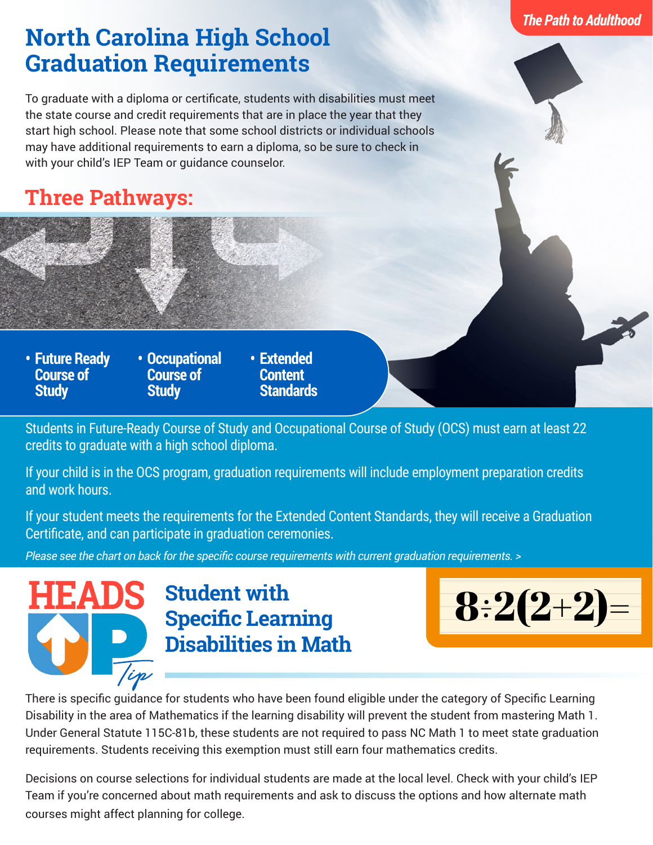## *The Path to Adulthood*

## **North Carolina High School Graduation Requirements**

To graduate with a diploma or certificate, students with disabilities must meet the state course and credit requirements that are in place the year that they start high school. Please note that some school districts or individual schools may have additional requirements to earn a diploma, so be sure to check in with your child's IEP Team or guidance counselor.

## **Three Pathways:**

**• Future Ready Course of Study**

- **• Occupational Course of Study**
- **• Extended Content Standards**

Students in Future-Ready Course of Study and Occupational Course of Study (OCS) must earn at least 22 credits to graduate with a high school diploma.

If your child is in the OCS program, graduation requirements will include employment preparation credits and work hours.

If your student meets the requirements for the Extended Content Standards, they will receive a Graduation Certificate, and can participate in graduation ceremonies.

*Please see the chart on back for the specific course requirements with current graduation requirements. >*



**Student with Specific Learning Disabilities in Math**



There is specific guidance for students who have been found eligible under the category of Specific Learning Disability in the area of Mathematics if the learning disability will prevent the student from mastering Math 1. Under General Statute 115C-81b, these students are not required to pass NC Math 1 to meet state graduation requirements. Students receiving this exemption must still earn four mathematics credits.

Decisions on course selections for individual students are made at the local level. Check with your child's IEP Team if you're concerned about math requirements and ask to discuss the options and how alternate math courses might affect planning for college.